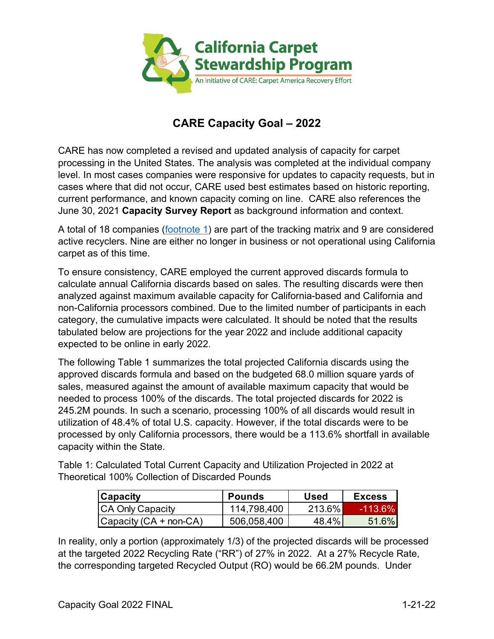

## **CARE Capacity Goal – 2022**

CARE has now completed a revised and updated analysis of capacity for carpet processing in the United States. The analysis was completed at the individual company level. In most cases companies were responsive for updates to capacity requests, but in cases where that did not occur, CARE used best estimates based on historic reporting, current performance, and known capacity coming on line. CARE also references the June 30, 2021 **Capacity Survey Report** as background information and context.

A total of 18 companies (<u>footnote 1</u>) are part of the tracking matrix and 9 are considered active recyclers. Nine are either no longer in business or not operational using California carpet as of this time.

 non-California processors combined. Due to the limited number of participants in each category, the cumulative impacts were calculated. It should be noted that the results tabulated below are projections for the year 2022 and include additional capacity expected to be online in early 2022. To ensure consistency, CARE employed the current approved discards formula to calculate annual California discards based on sales. The resulting discards were then analyzed against maximum available capacity for California-based and California and

 approved discards formula and based on the budgeted 68.0 million square yards of needed to process 100% of the discards. The total projected discards for 2022 is processed by only California processors, there would be a 113.6% shortfall in available capacity within the State. The following Table 1 summarizes the total projected California discards using the sales, measured against the amount of available maximum capacity that would be 245.2M pounds. In such a scenario, processing 100% of all discards would result in utilization of 48.4% of total U.S. capacity. However, if the total discards were to be

Table 1: Calculated Total Current Capacity and Utilization Projected in 2022 at Theoretical 100% Collection of Discarded Pounds

| $ $ Capacity              | <b>Pounds</b> | <b>Used</b> | <b>Excess</b> |
|---------------------------|---------------|-------------|---------------|
| <b>CA Only Capacity</b>   | 114,798,400   | 213.6%      | -113.6%       |
| $ Capacity(GA + non-CA) $ | 506,058,400   | 48.4%       | 51.6%         |

 In reality, only a portion (approximately 1/3) of the projected discards will be processed at the targeted 2022 Recycling Rate ("RR") of 27% in 2022. At a 27% Recycle Rate, the corresponding targeted Recycled Output (RO) would be 66.2M pounds. Under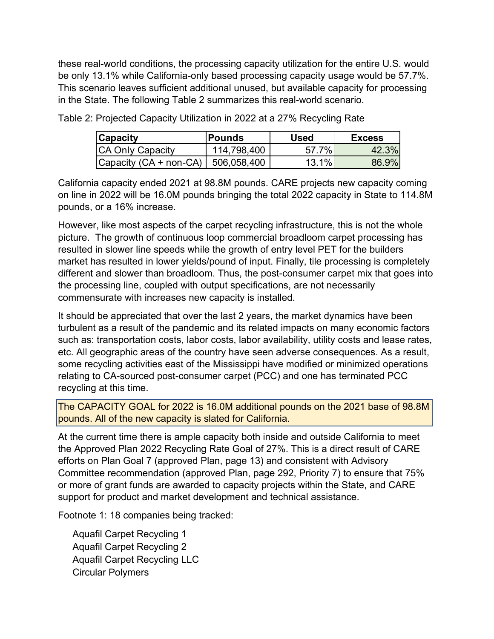be only 13.1% while California-only based processing capacity usage would be 57.7%. in the State. The following Table 2 summarizes this real-world scenario. these real-world conditions, the processing capacity utilization for the entire U.S. would This scenario leaves sufficient additional unused, but available capacity for processing

| Capacity                               | <b>Pounds</b> | <b>Used</b> | <b>Excess</b> |
|----------------------------------------|---------------|-------------|---------------|
| <b>CA Only Capacity</b>                | 114,798,400   | 57.7%       | 42.3%         |
| Capacity $(CA + non-CA)$   506,058,400 |               | $13.1\%$    | 86.9%         |

Table 2: Projected Capacity Utilization in 2022 at a 27% Recycling Rate

California capacity ended 2021 at 98.8M pounds. CARE projects new capacity coming on line in 2022 will be 16.0M pounds bringing the total 2022 capacity in State to 114.8M pounds, or a 16% increase.

 However, like most aspects of the carpet recycling infrastructure, this is not the whole picture. The growth of continuous loop commercial broadloom carpet processing has market has resulted in lower yields/pound of input. Finally, tile processing is completely resulted in slower line speeds while the growth of entry level PET for the builders different and slower than broadloom. Thus, the post-consumer carpet mix that goes into the processing line, coupled with output specifications, are not necessarily commensurate with increases new capacity is installed.

 It should be appreciated that over the last 2 years, the market dynamics have been turbulent as a result of the pandemic and its related impacts on many economic factors such as: transportation costs, labor costs, labor availability, utility costs and lease rates, etc. All geographic areas of the country have seen adverse consequences. As a result, some recycling activities east of the Mississippi have modified or minimized operations relating to CA-sourced post-consumer carpet (PCC) and one has terminated PCC recycling at this time.

 The CAPACITY GOAL for 2022 is 16.0M additional pounds on the 2021 base of 98.8M pounds. All of the new capacity is slated for California.

 support for product and market development and technical assistance. At the current time there is ample capacity both inside and outside California to meet the Approved Plan 2022 Recycling Rate Goal of 27%. This is a direct result of CARE efforts on Plan Goal 7 (approved Plan, page 13) and consistent with Advisory Committee recommendation (approved Plan, page 292, Priority 7) to ensure that 75% or more of grant funds are awarded to capacity projects within the State, and CARE

<span id="page-1-0"></span>Footnote 1: 18 companies being tracked:

Aquafil Carpet Recycling 1 Aquafil Carpet Recycling 2 Aquafil Carpet Recycling LLC Circular Polymers